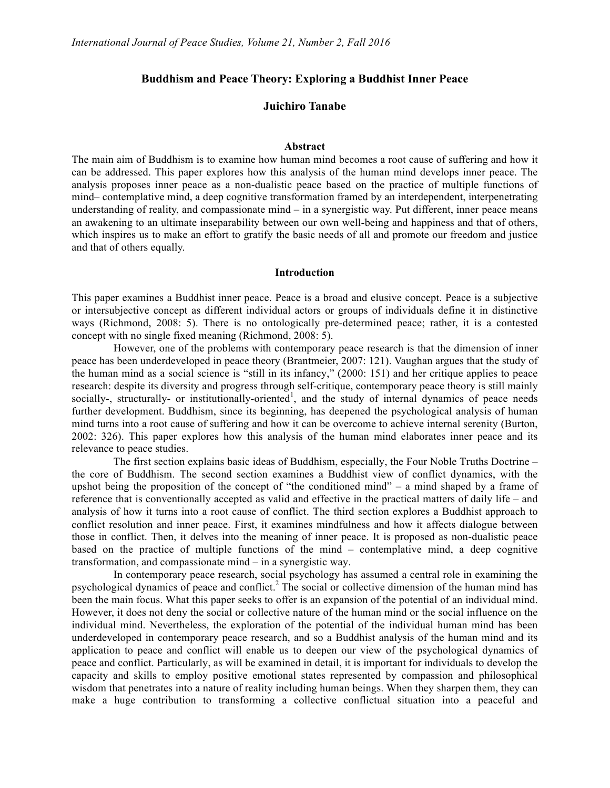# **Buddhism and Peace Theory: Exploring a Buddhist Inner Peace**

# **Juichiro Tanabe**

# **Abstract**

The main aim of Buddhism is to examine how human mind becomes a root cause of suffering and how it can be addressed. This paper explores how this analysis of the human mind develops inner peace. The analysis proposes inner peace as a non-dualistic peace based on the practice of multiple functions of mind– contemplative mind, a deep cognitive transformation framed by an interdependent, interpenetrating understanding of reality, and compassionate mind – in a synergistic way. Put different, inner peace means an awakening to an ultimate inseparability between our own well-being and happiness and that of others, which inspires us to make an effort to gratify the basic needs of all and promote our freedom and justice and that of others equally.

### **Introduction**

This paper examines a Buddhist inner peace. Peace is a broad and elusive concept. Peace is a subjective or intersubjective concept as different individual actors or groups of individuals define it in distinctive ways (Richmond, 2008: 5). There is no ontologically pre-determined peace; rather, it is a contested concept with no single fixed meaning (Richmond, 2008: 5).

However, one of the problems with contemporary peace research is that the dimension of inner peace has been underdeveloped in peace theory (Brantmeier, 2007: 121). Vaughan argues that the study of the human mind as a social science is "still in its infancy," (2000: 151) and her critique applies to peace research: despite its diversity and progress through self-critique, contemporary peace theory is still mainly socially-, structurally- or institutionally-oriented<sup>1</sup>, and the study of internal dynamics of peace needs further development. Buddhism, since its beginning, has deepened the psychological analysis of human mind turns into a root cause of suffering and how it can be overcome to achieve internal serenity (Burton, 2002: 326). This paper explores how this analysis of the human mind elaborates inner peace and its relevance to peace studies.

The first section explains basic ideas of Buddhism, especially, the Four Noble Truths Doctrine – the core of Buddhism. The second section examines a Buddhist view of conflict dynamics, with the upshot being the proposition of the concept of "the conditioned mind" – a mind shaped by a frame of reference that is conventionally accepted as valid and effective in the practical matters of daily life – and analysis of how it turns into a root cause of conflict. The third section explores a Buddhist approach to conflict resolution and inner peace. First, it examines mindfulness and how it affects dialogue between those in conflict. Then, it delves into the meaning of inner peace. It is proposed as non-dualistic peace based on the practice of multiple functions of the mind – contemplative mind, a deep cognitive transformation, and compassionate mind – in a synergistic way.

In contemporary peace research, social psychology has assumed a central role in examining the psychological dynamics of peace and conflict.<sup>2</sup> The social or collective dimension of the human mind has been the main focus. What this paper seeks to offer is an expansion of the potential of an individual mind. However, it does not deny the social or collective nature of the human mind or the social influence on the individual mind. Nevertheless, the exploration of the potential of the individual human mind has been underdeveloped in contemporary peace research, and so a Buddhist analysis of the human mind and its application to peace and conflict will enable us to deepen our view of the psychological dynamics of peace and conflict. Particularly, as will be examined in detail, it is important for individuals to develop the capacity and skills to employ positive emotional states represented by compassion and philosophical wisdom that penetrates into a nature of reality including human beings. When they sharpen them, they can make a huge contribution to transforming a collective conflictual situation into a peaceful and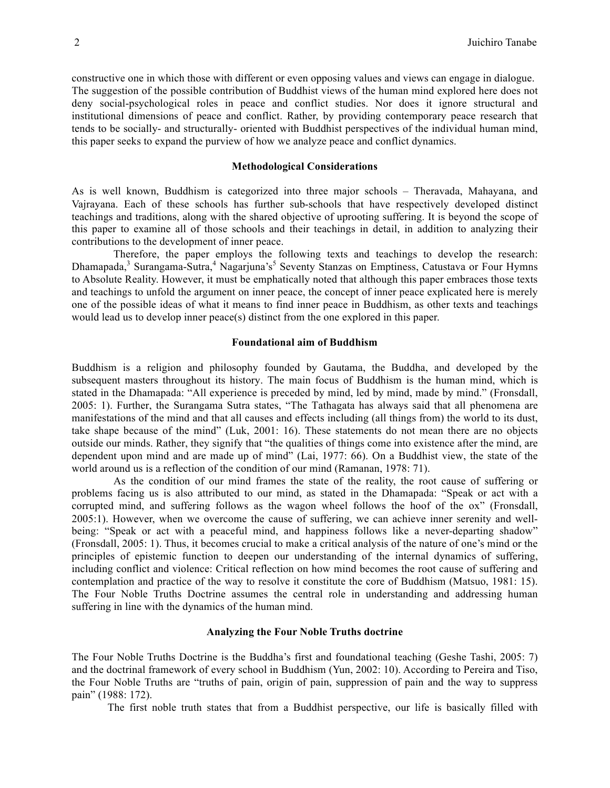constructive one in which those with different or even opposing values and views can engage in dialogue. The suggestion of the possible contribution of Buddhist views of the human mind explored here does not deny social-psychological roles in peace and conflict studies. Nor does it ignore structural and institutional dimensions of peace and conflict. Rather, by providing contemporary peace research that tends to be socially- and structurally- oriented with Buddhist perspectives of the individual human mind, this paper seeks to expand the purview of how we analyze peace and conflict dynamics.

## **Methodological Considerations**

As is well known, Buddhism is categorized into three major schools – Theravada, Mahayana, and Vajrayana. Each of these schools has further sub-schools that have respectively developed distinct teachings and traditions, along with the shared objective of uprooting suffering. It is beyond the scope of this paper to examine all of those schools and their teachings in detail, in addition to analyzing their contributions to the development of inner peace.

Therefore, the paper employs the following texts and teachings to develop the research: Dhamapada,<sup>3</sup> Surangama-Sutra,<sup>4</sup> Nagarjuna's<sup>5</sup> Seventy Stanzas on Emptiness, Catustava or Four Hymns to Absolute Reality. However, it must be emphatically noted that although this paper embraces those texts and teachings to unfold the argument on inner peace, the concept of inner peace explicated here is merely one of the possible ideas of what it means to find inner peace in Buddhism, as other texts and teachings would lead us to develop inner peace(s) distinct from the one explored in this paper.

## **Foundational aim of Buddhism**

Buddhism is a religion and philosophy founded by Gautama, the Buddha, and developed by the subsequent masters throughout its history. The main focus of Buddhism is the human mind, which is stated in the Dhamapada: "All experience is preceded by mind, led by mind, made by mind." (Fronsdall, 2005: 1). Further, the Surangama Sutra states, "The Tathagata has always said that all phenomena are manifestations of the mind and that all causes and effects including (all things from) the world to its dust, take shape because of the mind" (Luk, 2001: 16). These statements do not mean there are no objects outside our minds. Rather, they signify that "the qualities of things come into existence after the mind, are dependent upon mind and are made up of mind" (Lai, 1977: 66). On a Buddhist view, the state of the world around us is a reflection of the condition of our mind (Ramanan, 1978: 71).

As the condition of our mind frames the state of the reality, the root cause of suffering or problems facing us is also attributed to our mind, as stated in the Dhamapada: "Speak or act with a corrupted mind, and suffering follows as the wagon wheel follows the hoof of the ox" (Fronsdall, 2005:1). However, when we overcome the cause of suffering, we can achieve inner serenity and wellbeing: "Speak or act with a peaceful mind, and happiness follows like a never-departing shadow" (Fronsdall, 2005: 1). Thus, it becomes crucial to make a critical analysis of the nature of one's mind or the principles of epistemic function to deepen our understanding of the internal dynamics of suffering, including conflict and violence: Critical reflection on how mind becomes the root cause of suffering and contemplation and practice of the way to resolve it constitute the core of Buddhism (Matsuo, 1981: 15). The Four Noble Truths Doctrine assumes the central role in understanding and addressing human suffering in line with the dynamics of the human mind.

# **Analyzing the Four Noble Truths doctrine**

The Four Noble Truths Doctrine is the Buddha's first and foundational teaching (Geshe Tashi, 2005: 7) and the doctrinal framework of every school in Buddhism (Yun, 2002: 10). According to Pereira and Tiso, the Four Noble Truths are "truths of pain, origin of pain, suppression of pain and the way to suppress pain" (1988: 172).

The first noble truth states that from a Buddhist perspective, our life is basically filled with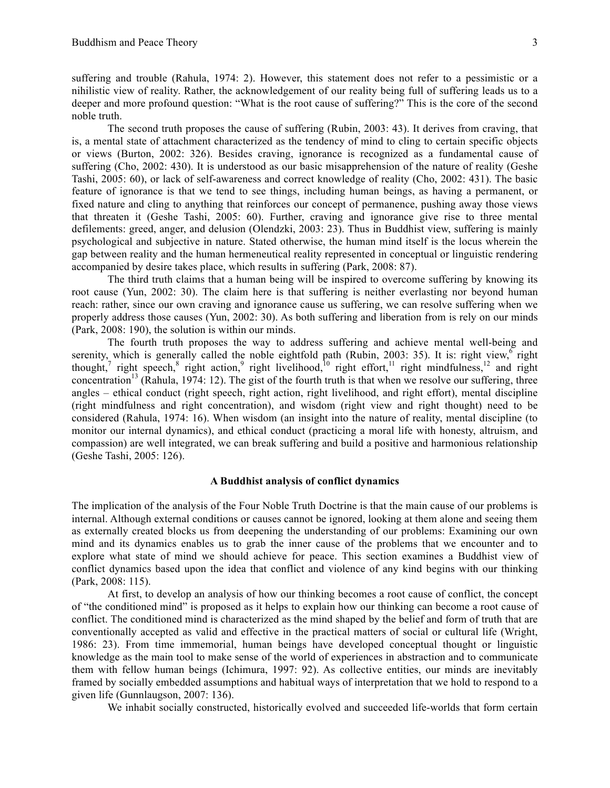suffering and trouble (Rahula, 1974: 2). However, this statement does not refer to a pessimistic or a nihilistic view of reality. Rather, the acknowledgement of our reality being full of suffering leads us to a deeper and more profound question: "What is the root cause of suffering?" This is the core of the second noble truth.

The second truth proposes the cause of suffering (Rubin, 2003: 43). It derives from craving, that is, a mental state of attachment characterized as the tendency of mind to cling to certain specific objects or views (Burton, 2002: 326). Besides craving, ignorance is recognized as a fundamental cause of suffering (Cho, 2002: 430). It is understood as our basic misapprehension of the nature of reality (Geshe Tashi, 2005: 60), or lack of self-awareness and correct knowledge of reality (Cho, 2002: 431). The basic feature of ignorance is that we tend to see things, including human beings, as having a permanent, or fixed nature and cling to anything that reinforces our concept of permanence, pushing away those views that threaten it (Geshe Tashi, 2005: 60). Further, craving and ignorance give rise to three mental defilements: greed, anger, and delusion (Olendzki, 2003: 23). Thus in Buddhist view, suffering is mainly psychological and subjective in nature. Stated otherwise, the human mind itself is the locus wherein the gap between reality and the human hermeneutical reality represented in conceptual or linguistic rendering accompanied by desire takes place, which results in suffering (Park, 2008: 87).

The third truth claims that a human being will be inspired to overcome suffering by knowing its root cause (Yun, 2002: 30). The claim here is that suffering is neither everlasting nor beyond human reach: rather, since our own craving and ignorance cause us suffering, we can resolve suffering when we properly address those causes (Yun, 2002: 30). As both suffering and liberation from is rely on our minds (Park, 2008: 190), the solution is within our minds.

The fourth truth proposes the way to address suffering and achieve mental well-being and serenity, which is generally called the noble eightfold path (Rubin, 2003: 35). It is: right view, right thought,<sup>7</sup> right speech,<sup>8</sup> right action,<sup>9</sup> right livelihood,<sup>10</sup> right effort,<sup>11</sup> right mindfulness,<sup>12</sup> and right concentration<sup>13</sup> (Rahula, 1974: 12). The gist of the fourth truth is that when we resolve our suffering, three angles – ethical conduct (right speech, right action, right livelihood, and right effort), mental discipline (right mindfulness and right concentration), and wisdom (right view and right thought) need to be considered (Rahula, 1974: 16). When wisdom (an insight into the nature of reality, mental discipline (to monitor our internal dynamics), and ethical conduct (practicing a moral life with honesty, altruism, and compassion) are well integrated, we can break suffering and build a positive and harmonious relationship (Geshe Tashi, 2005: 126).

# **A Buddhist analysis of conflict dynamics**

The implication of the analysis of the Four Noble Truth Doctrine is that the main cause of our problems is internal. Although external conditions or causes cannot be ignored, looking at them alone and seeing them as externally created blocks us from deepening the understanding of our problems: Examining our own mind and its dynamics enables us to grab the inner cause of the problems that we encounter and to explore what state of mind we should achieve for peace. This section examines a Buddhist view of conflict dynamics based upon the idea that conflict and violence of any kind begins with our thinking (Park, 2008: 115).

At first, to develop an analysis of how our thinking becomes a root cause of conflict, the concept of "the conditioned mind" is proposed as it helps to explain how our thinking can become a root cause of conflict. The conditioned mind is characterized as the mind shaped by the belief and form of truth that are conventionally accepted as valid and effective in the practical matters of social or cultural life (Wright, 1986: 23). From time immemorial, human beings have developed conceptual thought or linguistic knowledge as the main tool to make sense of the world of experiences in abstraction and to communicate them with fellow human beings (Ichimura, 1997: 92). As collective entities, our minds are inevitably framed by socially embedded assumptions and habitual ways of interpretation that we hold to respond to a given life (Gunnlaugson, 2007: 136).

We inhabit socially constructed, historically evolved and succeeded life-worlds that form certain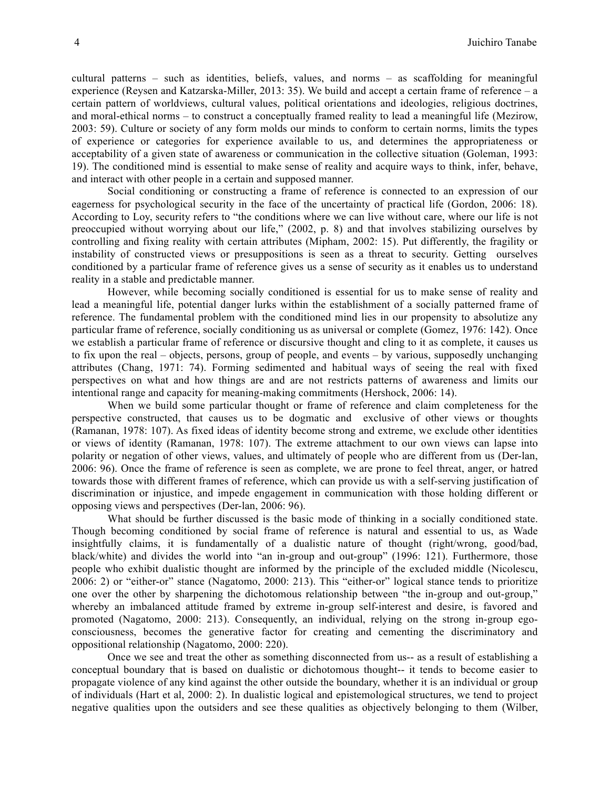cultural patterns – such as identities, beliefs, values, and norms – as scaffolding for meaningful experience (Reysen and Katzarska-Miller, 2013: 35). We build and accept a certain frame of reference – a certain pattern of worldviews, cultural values, political orientations and ideologies, religious doctrines, and moral-ethical norms – to construct a conceptually framed reality to lead a meaningful life (Mezirow, 2003: 59). Culture or society of any form molds our minds to conform to certain norms, limits the types of experience or categories for experience available to us, and determines the appropriateness or acceptability of a given state of awareness or communication in the collective situation (Goleman, 1993: 19). The conditioned mind is essential to make sense of reality and acquire ways to think, infer, behave, and interact with other people in a certain and supposed manner.

Social conditioning or constructing a frame of reference is connected to an expression of our eagerness for psychological security in the face of the uncertainty of practical life (Gordon, 2006: 18). According to Loy, security refers to "the conditions where we can live without care, where our life is not preoccupied without worrying about our life," (2002, p. 8) and that involves stabilizing ourselves by controlling and fixing reality with certain attributes (Mipham, 2002: 15). Put differently, the fragility or instability of constructed views or presuppositions is seen as a threat to security. Getting ourselves conditioned by a particular frame of reference gives us a sense of security as it enables us to understand reality in a stable and predictable manner.

However, while becoming socially conditioned is essential for us to make sense of reality and lead a meaningful life, potential danger lurks within the establishment of a socially patterned frame of reference. The fundamental problem with the conditioned mind lies in our propensity to absolutize any particular frame of reference, socially conditioning us as universal or complete (Gomez, 1976: 142). Once we establish a particular frame of reference or discursive thought and cling to it as complete, it causes us to fix upon the real – objects, persons, group of people, and events – by various, supposedly unchanging attributes (Chang, 1971: 74). Forming sedimented and habitual ways of seeing the real with fixed perspectives on what and how things are and are not restricts patterns of awareness and limits our intentional range and capacity for meaning-making commitments (Hershock, 2006: 14).

When we build some particular thought or frame of reference and claim completeness for the perspective constructed, that causes us to be dogmatic and exclusive of other views or thoughts (Ramanan, 1978: 107). As fixed ideas of identity become strong and extreme, we exclude other identities or views of identity (Ramanan, 1978: 107). The extreme attachment to our own views can lapse into polarity or negation of other views, values, and ultimately of people who are different from us (Der-lan, 2006: 96). Once the frame of reference is seen as complete, we are prone to feel threat, anger, or hatred towards those with different frames of reference, which can provide us with a self-serving justification of discrimination or injustice, and impede engagement in communication with those holding different or opposing views and perspectives (Der-lan, 2006: 96).

What should be further discussed is the basic mode of thinking in a socially conditioned state. Though becoming conditioned by social frame of reference is natural and essential to us, as Wade insightfully claims, it is fundamentally of a dualistic nature of thought (right/wrong, good/bad, black/white) and divides the world into "an in-group and out-group" (1996: 121). Furthermore, those people who exhibit dualistic thought are informed by the principle of the excluded middle (Nicolescu, 2006: 2) or "either-or" stance (Nagatomo, 2000: 213). This "either-or" logical stance tends to prioritize one over the other by sharpening the dichotomous relationship between "the in-group and out-group," whereby an imbalanced attitude framed by extreme in-group self-interest and desire, is favored and promoted (Nagatomo, 2000: 213). Consequently, an individual, relying on the strong in-group egoconsciousness, becomes the generative factor for creating and cementing the discriminatory and oppositional relationship (Nagatomo, 2000: 220).

Once we see and treat the other as something disconnected from us-- as a result of establishing a conceptual boundary that is based on dualistic or dichotomous thought-- it tends to become easier to propagate violence of any kind against the other outside the boundary, whether it is an individual or group of individuals (Hart et al, 2000: 2). In dualistic logical and epistemological structures, we tend to project negative qualities upon the outsiders and see these qualities as objectively belonging to them (Wilber,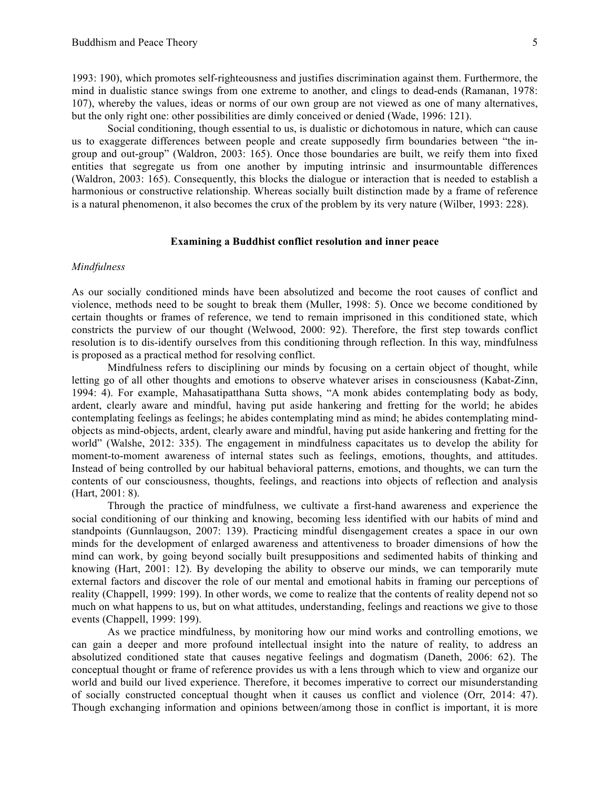1993: 190), which promotes self-righteousness and justifies discrimination against them. Furthermore, the mind in dualistic stance swings from one extreme to another, and clings to dead-ends (Ramanan, 1978: 107), whereby the values, ideas or norms of our own group are not viewed as one of many alternatives, but the only right one: other possibilities are dimly conceived or denied (Wade, 1996: 121).

Social conditioning, though essential to us, is dualistic or dichotomous in nature, which can cause us to exaggerate differences between people and create supposedly firm boundaries between "the ingroup and out-group" (Waldron, 2003: 165). Once those boundaries are built, we reify them into fixed entities that segregate us from one another by imputing intrinsic and insurmountable differences (Waldron, 2003: 165). Consequently, this blocks the dialogue or interaction that is needed to establish a harmonious or constructive relationship. Whereas socially built distinction made by a frame of reference is a natural phenomenon, it also becomes the crux of the problem by its very nature (Wilber, 1993: 228).

#### **Examining a Buddhist conflict resolution and inner peace**

# *Mindfulness*

As our socially conditioned minds have been absolutized and become the root causes of conflict and violence, methods need to be sought to break them (Muller, 1998: 5). Once we become conditioned by certain thoughts or frames of reference, we tend to remain imprisoned in this conditioned state, which constricts the purview of our thought (Welwood, 2000: 92). Therefore, the first step towards conflict resolution is to dis-identify ourselves from this conditioning through reflection. In this way, mindfulness is proposed as a practical method for resolving conflict.

Mindfulness refers to disciplining our minds by focusing on a certain object of thought, while letting go of all other thoughts and emotions to observe whatever arises in consciousness (Kabat-Zinn, 1994: 4). For example, Mahasatipatthana Sutta shows, "A monk abides contemplating body as body, ardent, clearly aware and mindful, having put aside hankering and fretting for the world; he abides contemplating feelings as feelings; he abides contemplating mind as mind; he abides contemplating mindobjects as mind-objects, ardent, clearly aware and mindful, having put aside hankering and fretting for the world" (Walshe, 2012: 335). The engagement in mindfulness capacitates us to develop the ability for moment-to-moment awareness of internal states such as feelings, emotions, thoughts, and attitudes. Instead of being controlled by our habitual behavioral patterns, emotions, and thoughts, we can turn the contents of our consciousness, thoughts, feelings, and reactions into objects of reflection and analysis (Hart, 2001: 8).

Through the practice of mindfulness, we cultivate a first-hand awareness and experience the social conditioning of our thinking and knowing, becoming less identified with our habits of mind and standpoints (Gunnlaugson, 2007: 139). Practicing mindful disengagement creates a space in our own minds for the development of enlarged awareness and attentiveness to broader dimensions of how the mind can work, by going beyond socially built presuppositions and sedimented habits of thinking and knowing (Hart, 2001: 12). By developing the ability to observe our minds, we can temporarily mute external factors and discover the role of our mental and emotional habits in framing our perceptions of reality (Chappell, 1999: 199). In other words, we come to realize that the contents of reality depend not so much on what happens to us, but on what attitudes, understanding, feelings and reactions we give to those events (Chappell, 1999: 199).

As we practice mindfulness, by monitoring how our mind works and controlling emotions, we can gain a deeper and more profound intellectual insight into the nature of reality, to address an absolutized conditioned state that causes negative feelings and dogmatism (Daneth, 2006: 62). The conceptual thought or frame of reference provides us with a lens through which to view and organize our world and build our lived experience. Therefore, it becomes imperative to correct our misunderstanding of socially constructed conceptual thought when it causes us conflict and violence (Orr, 2014: 47). Though exchanging information and opinions between/among those in conflict is important, it is more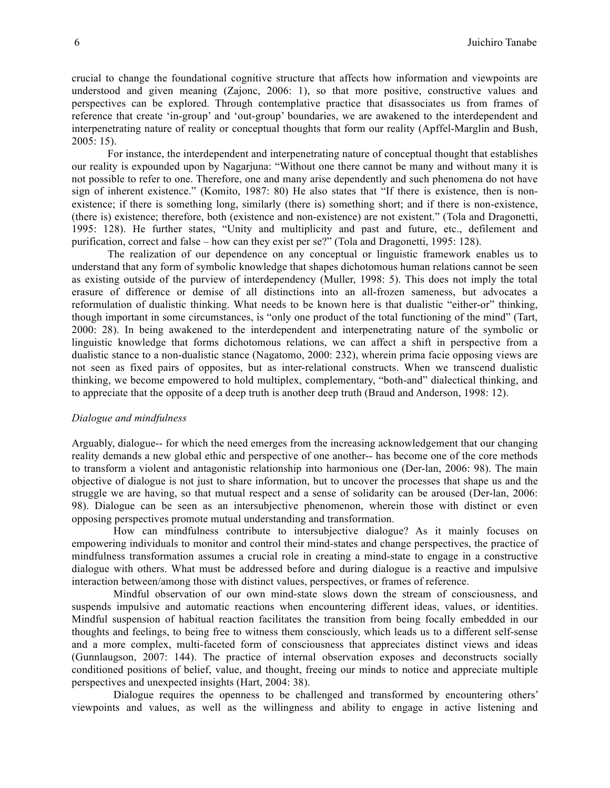crucial to change the foundational cognitive structure that affects how information and viewpoints are understood and given meaning (Zajonc, 2006: 1), so that more positive, constructive values and perspectives can be explored. Through contemplative practice that disassociates us from frames of reference that create 'in-group' and 'out-group' boundaries, we are awakened to the interdependent and interpenetrating nature of reality or conceptual thoughts that form our reality (Apffel-Marglin and Bush, 2005: 15).

For instance, the interdependent and interpenetrating nature of conceptual thought that establishes our reality is expounded upon by Nagarjuna: "Without one there cannot be many and without many it is not possible to refer to one. Therefore, one and many arise dependently and such phenomena do not have sign of inherent existence." (Komito, 1987: 80) He also states that "If there is existence, then is nonexistence; if there is something long, similarly (there is) something short; and if there is non-existence, (there is) existence; therefore, both (existence and non-existence) are not existent." (Tola and Dragonetti, 1995: 128). He further states, "Unity and multiplicity and past and future, etc., defilement and purification, correct and false – how can they exist per se?" (Tola and Dragonetti, 1995: 128).

The realization of our dependence on any conceptual or linguistic framework enables us to understand that any form of symbolic knowledge that shapes dichotomous human relations cannot be seen as existing outside of the purview of interdependency (Muller, 1998: 5). This does not imply the total erasure of difference or demise of all distinctions into an all-frozen sameness, but advocates a reformulation of dualistic thinking. What needs to be known here is that dualistic "either-or" thinking, though important in some circumstances, is "only one product of the total functioning of the mind" (Tart, 2000: 28). In being awakened to the interdependent and interpenetrating nature of the symbolic or linguistic knowledge that forms dichotomous relations, we can affect a shift in perspective from a dualistic stance to a non-dualistic stance (Nagatomo, 2000: 232), wherein prima facie opposing views are not seen as fixed pairs of opposites, but as inter-relational constructs. When we transcend dualistic thinking, we become empowered to hold multiplex, complementary, "both-and" dialectical thinking, and to appreciate that the opposite of a deep truth is another deep truth (Braud and Anderson, 1998: 12).

# *Dialogue and mindfulness*

Arguably, dialogue-- for which the need emerges from the increasing acknowledgement that our changing reality demands a new global ethic and perspective of one another-- has become one of the core methods to transform a violent and antagonistic relationship into harmonious one (Der-lan, 2006: 98). The main objective of dialogue is not just to share information, but to uncover the processes that shape us and the struggle we are having, so that mutual respect and a sense of solidarity can be aroused (Der-lan, 2006: 98). Dialogue can be seen as an intersubjective phenomenon, wherein those with distinct or even opposing perspectives promote mutual understanding and transformation.

How can mindfulness contribute to intersubjective dialogue? As it mainly focuses on empowering individuals to monitor and control their mind-states and change perspectives, the practice of mindfulness transformation assumes a crucial role in creating a mind-state to engage in a constructive dialogue with others. What must be addressed before and during dialogue is a reactive and impulsive interaction between/among those with distinct values, perspectives, or frames of reference.

Mindful observation of our own mind-state slows down the stream of consciousness, and suspends impulsive and automatic reactions when encountering different ideas, values, or identities. Mindful suspension of habitual reaction facilitates the transition from being focally embedded in our thoughts and feelings, to being free to witness them consciously, which leads us to a different self-sense and a more complex, multi-faceted form of consciousness that appreciates distinct views and ideas (Gunnlaugson, 2007: 144). The practice of internal observation exposes and deconstructs socially conditioned positions of belief, value, and thought, freeing our minds to notice and appreciate multiple perspectives and unexpected insights (Hart, 2004: 38).

Dialogue requires the openness to be challenged and transformed by encountering others' viewpoints and values, as well as the willingness and ability to engage in active listening and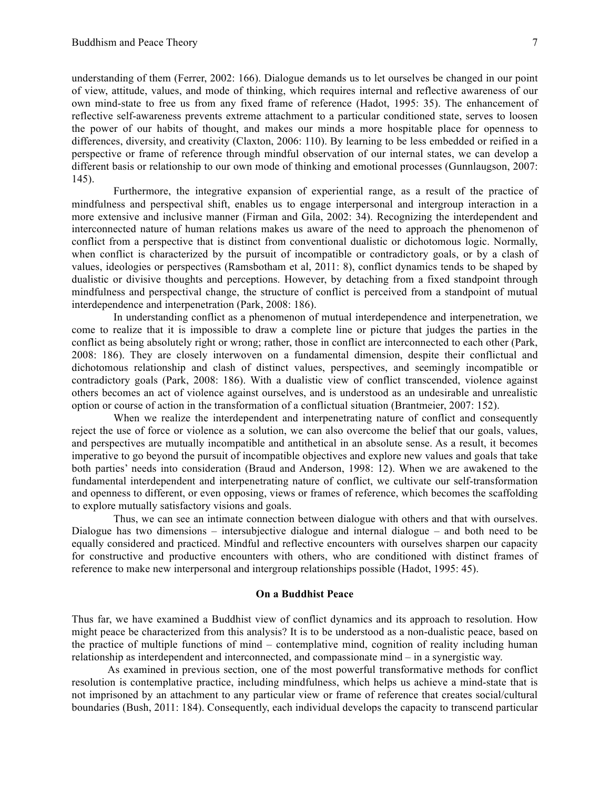understanding of them (Ferrer, 2002: 166). Dialogue demands us to let ourselves be changed in our point of view, attitude, values, and mode of thinking, which requires internal and reflective awareness of our own mind-state to free us from any fixed frame of reference (Hadot, 1995: 35). The enhancement of reflective self-awareness prevents extreme attachment to a particular conditioned state, serves to loosen the power of our habits of thought, and makes our minds a more hospitable place for openness to differences, diversity, and creativity (Claxton, 2006: 110). By learning to be less embedded or reified in a perspective or frame of reference through mindful observation of our internal states, we can develop a different basis or relationship to our own mode of thinking and emotional processes (Gunnlaugson, 2007: 145).

Furthermore, the integrative expansion of experiential range, as a result of the practice of mindfulness and perspectival shift, enables us to engage interpersonal and intergroup interaction in a more extensive and inclusive manner (Firman and Gila, 2002: 34). Recognizing the interdependent and interconnected nature of human relations makes us aware of the need to approach the phenomenon of conflict from a perspective that is distinct from conventional dualistic or dichotomous logic. Normally, when conflict is characterized by the pursuit of incompatible or contradictory goals, or by a clash of values, ideologies or perspectives (Ramsbotham et al, 2011: 8), conflict dynamics tends to be shaped by dualistic or divisive thoughts and perceptions. However, by detaching from a fixed standpoint through mindfulness and perspectival change, the structure of conflict is perceived from a standpoint of mutual interdependence and interpenetration (Park, 2008: 186).

In understanding conflict as a phenomenon of mutual interdependence and interpenetration, we come to realize that it is impossible to draw a complete line or picture that judges the parties in the conflict as being absolutely right or wrong; rather, those in conflict are interconnected to each other (Park, 2008: 186). They are closely interwoven on a fundamental dimension, despite their conflictual and dichotomous relationship and clash of distinct values, perspectives, and seemingly incompatible or contradictory goals (Park, 2008: 186). With a dualistic view of conflict transcended, violence against others becomes an act of violence against ourselves, and is understood as an undesirable and unrealistic option or course of action in the transformation of a conflictual situation (Brantmeier, 2007: 152).

When we realize the interdependent and interpenetrating nature of conflict and consequently reject the use of force or violence as a solution, we can also overcome the belief that our goals, values, and perspectives are mutually incompatible and antithetical in an absolute sense. As a result, it becomes imperative to go beyond the pursuit of incompatible objectives and explore new values and goals that take both parties' needs into consideration (Braud and Anderson, 1998: 12). When we are awakened to the fundamental interdependent and interpenetrating nature of conflict, we cultivate our self-transformation and openness to different, or even opposing, views or frames of reference, which becomes the scaffolding to explore mutually satisfactory visions and goals.

Thus, we can see an intimate connection between dialogue with others and that with ourselves. Dialogue has two dimensions – intersubjective dialogue and internal dialogue – and both need to be equally considered and practiced. Mindful and reflective encounters with ourselves sharpen our capacity for constructive and productive encounters with others, who are conditioned with distinct frames of reference to make new interpersonal and intergroup relationships possible (Hadot, 1995: 45).

# **On a Buddhist Peace**

Thus far, we have examined a Buddhist view of conflict dynamics and its approach to resolution. How might peace be characterized from this analysis? It is to be understood as a non-dualistic peace, based on the practice of multiple functions of mind – contemplative mind, cognition of reality including human relationship as interdependent and interconnected, and compassionate mind – in a synergistic way.

As examined in previous section, one of the most powerful transformative methods for conflict resolution is contemplative practice, including mindfulness, which helps us achieve a mind-state that is not imprisoned by an attachment to any particular view or frame of reference that creates social/cultural boundaries (Bush, 2011: 184). Consequently, each individual develops the capacity to transcend particular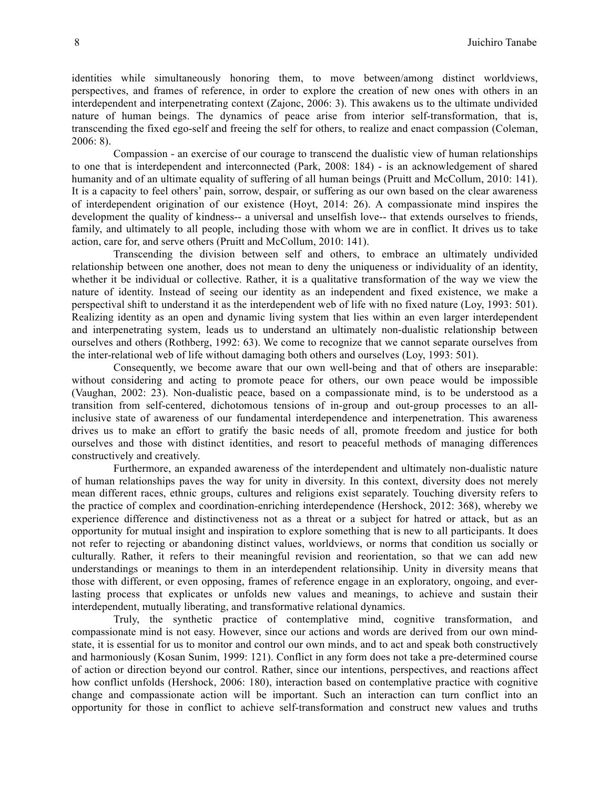identities while simultaneously honoring them, to move between/among distinct worldviews, perspectives, and frames of reference, in order to explore the creation of new ones with others in an interdependent and interpenetrating context (Zajonc, 2006: 3). This awakens us to the ultimate undivided nature of human beings. The dynamics of peace arise from interior self-transformation, that is, transcending the fixed ego-self and freeing the self for others, to realize and enact compassion (Coleman, 2006: 8).

Compassion - an exercise of our courage to transcend the dualistic view of human relationships to one that is interdependent and interconnected (Park, 2008: 184) - is an acknowledgement of shared humanity and of an ultimate equality of suffering of all human beings (Pruitt and McCollum, 2010: 141). It is a capacity to feel others' pain, sorrow, despair, or suffering as our own based on the clear awareness of interdependent origination of our existence (Hoyt, 2014: 26). A compassionate mind inspires the development the quality of kindness-- a universal and unselfish love-- that extends ourselves to friends, family, and ultimately to all people, including those with whom we are in conflict. It drives us to take action, care for, and serve others (Pruitt and McCollum, 2010: 141).

Transcending the division between self and others, to embrace an ultimately undivided relationship between one another, does not mean to deny the uniqueness or individuality of an identity, whether it be individual or collective. Rather, it is a qualitative transformation of the way we view the nature of identity. Instead of seeing our identity as an independent and fixed existence, we make a perspectival shift to understand it as the interdependent web of life with no fixed nature (Loy, 1993: 501). Realizing identity as an open and dynamic living system that lies within an even larger interdependent and interpenetrating system, leads us to understand an ultimately non-dualistic relationship between ourselves and others (Rothberg, 1992: 63). We come to recognize that we cannot separate ourselves from the inter-relational web of life without damaging both others and ourselves (Loy, 1993: 501).

Consequently, we become aware that our own well-being and that of others are inseparable: without considering and acting to promote peace for others, our own peace would be impossible (Vaughan, 2002: 23). Non-dualistic peace, based on a compassionate mind, is to be understood as a transition from self-centered, dichotomous tensions of in-group and out-group processes to an allinclusive state of awareness of our fundamental interdependence and interpenetration. This awareness drives us to make an effort to gratify the basic needs of all, promote freedom and justice for both ourselves and those with distinct identities, and resort to peaceful methods of managing differences constructively and creatively.

Furthermore, an expanded awareness of the interdependent and ultimately non-dualistic nature of human relationships paves the way for unity in diversity. In this context, diversity does not merely mean different races, ethnic groups, cultures and religions exist separately. Touching diversity refers to the practice of complex and coordination-enriching interdependence (Hershock, 2012: 368), whereby we experience difference and distinctiveness not as a threat or a subject for hatred or attack, but as an opportunity for mutual insight and inspiration to explore something that is new to all participants. It does not refer to rejecting or abandoning distinct values, worldviews, or norms that condition us socially or culturally. Rather, it refers to their meaningful revision and reorientation, so that we can add new understandings or meanings to them in an interdependent relationsihip. Unity in diversity means that those with different, or even opposing, frames of reference engage in an exploratory, ongoing, and everlasting process that explicates or unfolds new values and meanings, to achieve and sustain their interdependent, mutually liberating, and transformative relational dynamics.

Truly, the synthetic practice of contemplative mind, cognitive transformation, and compassionate mind is not easy. However, since our actions and words are derived from our own mindstate, it is essential for us to monitor and control our own minds, and to act and speak both constructively and harmoniously (Kosan Sunim, 1999: 121). Conflict in any form does not take a pre-determined course of action or direction beyond our control. Rather, since our intentions, perspectives, and reactions affect how conflict unfolds (Hershock, 2006: 180), interaction based on contemplative practice with cognitive change and compassionate action will be important. Such an interaction can turn conflict into an opportunity for those in conflict to achieve self-transformation and construct new values and truths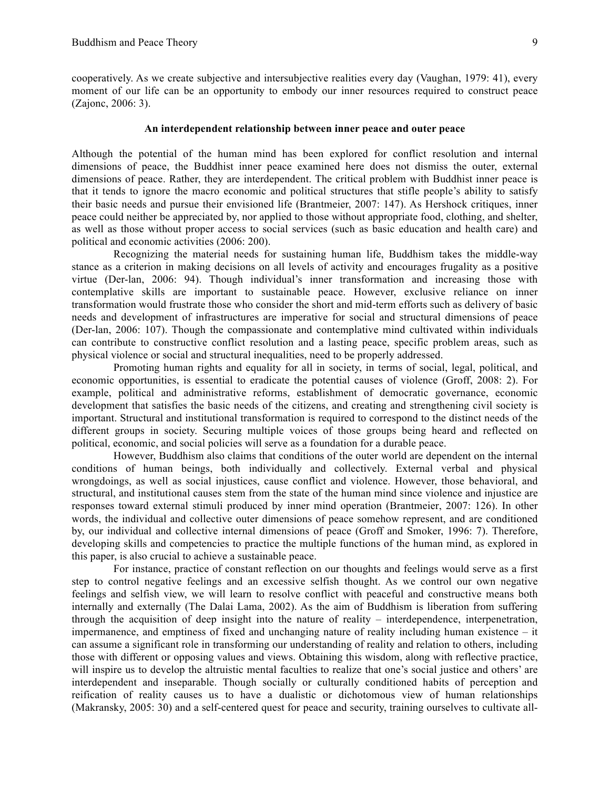cooperatively. As we create subjective and intersubjective realities every day (Vaughan, 1979: 41), every moment of our life can be an opportunity to embody our inner resources required to construct peace (Zajonc, 2006: 3).

# **An interdependent relationship between inner peace and outer peace**

Although the potential of the human mind has been explored for conflict resolution and internal dimensions of peace, the Buddhist inner peace examined here does not dismiss the outer, external dimensions of peace. Rather, they are interdependent. The critical problem with Buddhist inner peace is that it tends to ignore the macro economic and political structures that stifle people's ability to satisfy their basic needs and pursue their envisioned life (Brantmeier, 2007: 147). As Hershock critiques, inner peace could neither be appreciated by, nor applied to those without appropriate food, clothing, and shelter, as well as those without proper access to social services (such as basic education and health care) and political and economic activities (2006: 200).

Recognizing the material needs for sustaining human life, Buddhism takes the middle-way stance as a criterion in making decisions on all levels of activity and encourages frugality as a positive virtue (Der-lan, 2006: 94). Though individual's inner transformation and increasing those with contemplative skills are important to sustainable peace. However, exclusive reliance on inner transformation would frustrate those who consider the short and mid-term efforts such as delivery of basic needs and development of infrastructures are imperative for social and structural dimensions of peace (Der-lan, 2006: 107). Though the compassionate and contemplative mind cultivated within individuals can contribute to constructive conflict resolution and a lasting peace, specific problem areas, such as physical violence or social and structural inequalities, need to be properly addressed.

Promoting human rights and equality for all in society, in terms of social, legal, political, and economic opportunities, is essential to eradicate the potential causes of violence (Groff, 2008: 2). For example, political and administrative reforms, establishment of democratic governance, economic development that satisfies the basic needs of the citizens, and creating and strengthening civil society is important. Structural and institutional transformation is required to correspond to the distinct needs of the different groups in society. Securing multiple voices of those groups being heard and reflected on political, economic, and social policies will serve as a foundation for a durable peace.

However, Buddhism also claims that conditions of the outer world are dependent on the internal conditions of human beings, both individually and collectively. External verbal and physical wrongdoings, as well as social injustices, cause conflict and violence. However, those behavioral, and structural, and institutional causes stem from the state of the human mind since violence and injustice are responses toward external stimuli produced by inner mind operation (Brantmeier, 2007: 126). In other words, the individual and collective outer dimensions of peace somehow represent, and are conditioned by, our individual and collective internal dimensions of peace (Groff and Smoker, 1996: 7). Therefore, developing skills and competencies to practice the multiple functions of the human mind, as explored in this paper, is also crucial to achieve a sustainable peace.

For instance, practice of constant reflection on our thoughts and feelings would serve as a first step to control negative feelings and an excessive selfish thought. As we control our own negative feelings and selfish view, we will learn to resolve conflict with peaceful and constructive means both internally and externally (The Dalai Lama, 2002). As the aim of Buddhism is liberation from suffering through the acquisition of deep insight into the nature of reality – interdependence, interpenetration, impermanence, and emptiness of fixed and unchanging nature of reality including human existence – it can assume a significant role in transforming our understanding of reality and relation to others, including those with different or opposing values and views. Obtaining this wisdom, along with reflective practice, will inspire us to develop the altruistic mental faculties to realize that one's social justice and others' are interdependent and inseparable. Though socially or culturally conditioned habits of perception and reification of reality causes us to have a dualistic or dichotomous view of human relationships (Makransky, 2005: 30) and a self-centered quest for peace and security, training ourselves to cultivate all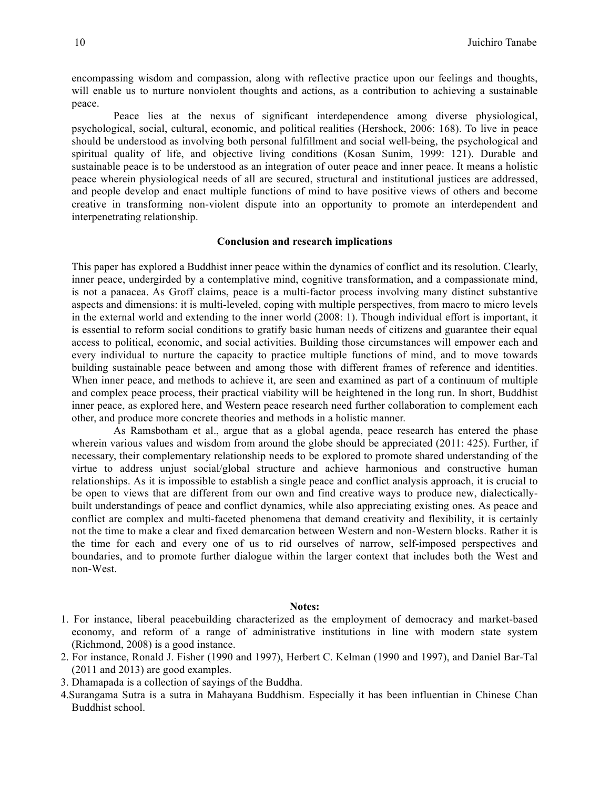encompassing wisdom and compassion, along with reflective practice upon our feelings and thoughts, will enable us to nurture nonviolent thoughts and actions, as a contribution to achieving a sustainable peace.

Peace lies at the nexus of significant interdependence among diverse physiological, psychological, social, cultural, economic, and political realities (Hershock, 2006: 168). To live in peace should be understood as involving both personal fulfillment and social well-being, the psychological and spiritual quality of life, and objective living conditions (Kosan Sunim, 1999: 121). Durable and sustainable peace is to be understood as an integration of outer peace and inner peace. It means a holistic peace wherein physiological needs of all are secured, structural and institutional justices are addressed, and people develop and enact multiple functions of mind to have positive views of others and become creative in transforming non-violent dispute into an opportunity to promote an interdependent and interpenetrating relationship.

# **Conclusion and research implications**

This paper has explored a Buddhist inner peace within the dynamics of conflict and its resolution. Clearly, inner peace, undergirded by a contemplative mind, cognitive transformation, and a compassionate mind, is not a panacea. As Groff claims, peace is a multi-factor process involving many distinct substantive aspects and dimensions: it is multi-leveled, coping with multiple perspectives, from macro to micro levels in the external world and extending to the inner world (2008: 1). Though individual effort is important, it is essential to reform social conditions to gratify basic human needs of citizens and guarantee their equal access to political, economic, and social activities. Building those circumstances will empower each and every individual to nurture the capacity to practice multiple functions of mind, and to move towards building sustainable peace between and among those with different frames of reference and identities. When inner peace, and methods to achieve it, are seen and examined as part of a continuum of multiple and complex peace process, their practical viability will be heightened in the long run. In short, Buddhist inner peace, as explored here, and Western peace research need further collaboration to complement each other, and produce more concrete theories and methods in a holistic manner.

As Ramsbotham et al., argue that as a global agenda, peace research has entered the phase wherein various values and wisdom from around the globe should be appreciated (2011: 425). Further, if necessary, their complementary relationship needs to be explored to promote shared understanding of the virtue to address unjust social/global structure and achieve harmonious and constructive human relationships. As it is impossible to establish a single peace and conflict analysis approach, it is crucial to be open to views that are different from our own and find creative ways to produce new, dialecticallybuilt understandings of peace and conflict dynamics, while also appreciating existing ones. As peace and conflict are complex and multi-faceted phenomena that demand creativity and flexibility, it is certainly not the time to make a clear and fixed demarcation between Western and non-Western blocks. Rather it is the time for each and every one of us to rid ourselves of narrow, self-imposed perspectives and boundaries, and to promote further dialogue within the larger context that includes both the West and non-West.

# **Notes:**

- 1. For instance, liberal peacebuilding characterized as the employment of democracy and market-based economy, and reform of a range of administrative institutions in line with modern state system (Richmond, 2008) is a good instance.
- 2. For instance, Ronald J. Fisher (1990 and 1997), Herbert C. Kelman (1990 and 1997), and Daniel Bar-Tal (2011 and 2013) are good examples.
- 3. Dhamapada is a collection of sayings of the Buddha.
- 4.Surangama Sutra is a sutra in Mahayana Buddhism. Especially it has been influentian in Chinese Chan Buddhist school.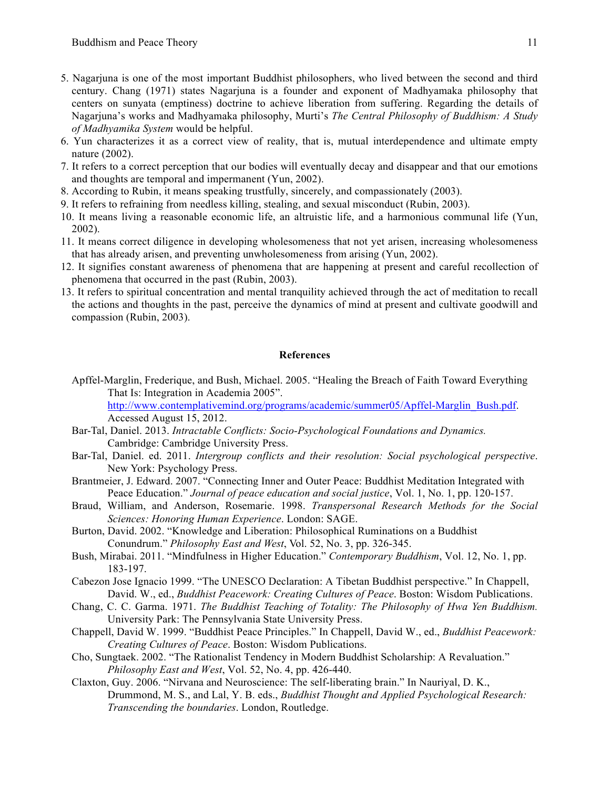- 5. Nagarjuna is one of the most important Buddhist philosophers, who lived between the second and third century. Chang (1971) states Nagarjuna is a founder and exponent of Madhyamaka philosophy that centers on sunyata (emptiness) doctrine to achieve liberation from suffering. Regarding the details of Nagarjuna's works and Madhyamaka philosophy, Murti's *The Central Philosophy of Buddhism: A Study of Madhyamika System* would be helpful.
- 6. Yun characterizes it as a correct view of reality, that is, mutual interdependence and ultimate empty nature (2002).
- 7. It refers to a correct perception that our bodies will eventually decay and disappear and that our emotions and thoughts are temporal and impermanent (Yun, 2002).
- 8. According to Rubin, it means speaking trustfully, sincerely, and compassionately (2003).
- 9. It refers to refraining from needless killing, stealing, and sexual misconduct (Rubin, 2003).
- 10. It means living a reasonable economic life, an altruistic life, and a harmonious communal life (Yun, 2002).
- 11. It means correct diligence in developing wholesomeness that not yet arisen, increasing wholesomeness that has already arisen, and preventing unwholesomeness from arising (Yun, 2002).
- 12. It signifies constant awareness of phenomena that are happening at present and careful recollection of phenomena that occurred in the past (Rubin, 2003).
- 13. It refers to spiritual concentration and mental tranquility achieved through the act of meditation to recall the actions and thoughts in the past, perceive the dynamics of mind at present and cultivate goodwill and compassion (Rubin, 2003).

# **References**

Apffel-Marglin, Frederique, and Bush, Michael. 2005. "Healing the Breach of Faith Toward Everything That Is: Integration in Academia 2005".

http://www.contemplativemind.org/programs/academic/summer05/Apffel-Marglin\_Bush.pdf. Accessed August 15, 2012.

- Bar-Tal, Daniel. 2013. *Intractable Conflicts: Socio-Psychological Foundations and Dynamics.*  Cambridge: Cambridge University Press.
- Bar-Tal, Daniel. ed. 2011. *Intergroup conflicts and their resolution: Social psychological perspective*. New York: Psychology Press.
- Brantmeier, J. Edward. 2007. "Connecting Inner and Outer Peace: Buddhist Meditation Integrated with Peace Education." *Journal of peace education and social justice*, Vol. 1, No. 1, pp. 120-157.
- Braud, William, and Anderson, Rosemarie. 1998. *Transpersonal Research Methods for the Social Sciences: Honoring Human Experience*. London: SAGE.
- Burton, David. 2002. "Knowledge and Liberation: Philosophical Ruminations on a Buddhist Conundrum." *Philosophy East and West*, Vol. 52, No. 3, pp. 326-345.
- Bush, Mirabai. 2011. "Mindfulness in Higher Education." *Contemporary Buddhism*, Vol. 12, No. 1, pp. 183-197.
- Cabezon Jose Ignacio 1999. "The UNESCO Declaration: A Tibetan Buddhist perspective." In Chappell, David. W., ed., *Buddhist Peacework: Creating Cultures of Peace*. Boston: Wisdom Publications.
- Chang, C. C. Garma. 1971. *The Buddhist Teaching of Totality: The Philosophy of Hwa Yen Buddhism.* University Park: The Pennsylvania State University Press.
- Chappell, David W. 1999. "Buddhist Peace Principles." In Chappell, David W., ed., *Buddhist Peacework: Creating Cultures of Peace*. Boston: Wisdom Publications.
- Cho, Sungtaek. 2002. "The Rationalist Tendency in Modern Buddhist Scholarship: A Revaluation." *Philosophy East and West*, Vol. 52, No. 4, pp. 426-440.
- Claxton, Guy. 2006. "Nirvana and Neuroscience: The self-liberating brain." In Nauriyal, D. K., Drummond, M. S., and Lal, Y. B. eds., *Buddhist Thought and Applied Psychological Research: Transcending the boundaries*. London, Routledge.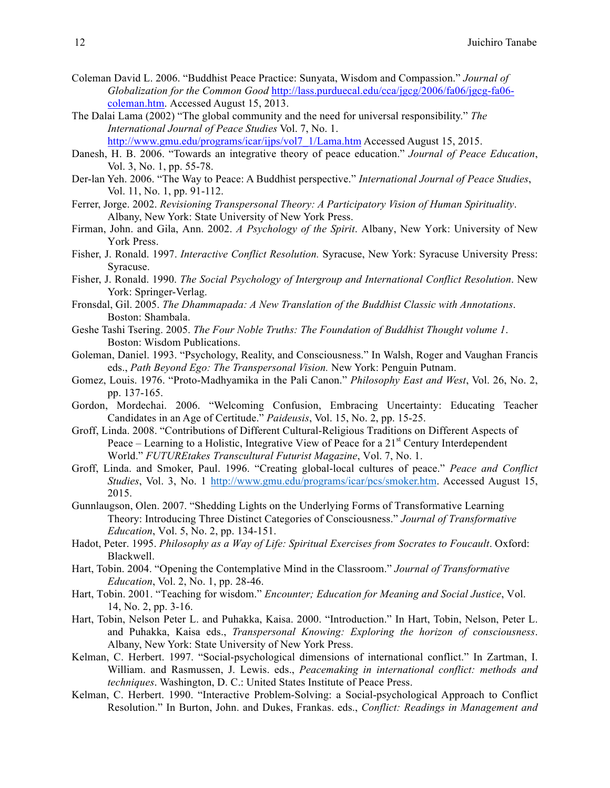- Coleman David L. 2006. "Buddhist Peace Practice: Sunyata, Wisdom and Compassion." *Journal of Globalization for the Common Good* http://lass.purduecal.edu/cca/jgcg/2006/fa06/jgcg-fa06 coleman.htm. Accessed August 15, 2013.
- The Dalai Lama (2002) "The global community and the need for universal responsibility." *The International Journal of Peace Studies* Vol. 7, No. 1. http://www.gmu.edu/programs/icar/ijps/vol7\_1/Lama.htm Accessed August 15, 2015.
- Danesh, H. B. 2006. "Towards an integrative theory of peace education." *Journal of Peace Education*, Vol. 3, No. 1, pp. 55-78.
- Der-lan Yeh. 2006. "The Way to Peace: A Buddhist perspective." *International Journal of Peace Studies*, Vol. 11, No. 1, pp. 91-112.
- Ferrer, Jorge. 2002. *Revisioning Transpersonal Theory: A Participatory Vision of Human Spirituality*. Albany, New York: State University of New York Press.
- Firman, John. and Gila, Ann. 2002. *A Psychology of the Spirit*. Albany, New York: University of New York Press.
- Fisher, J. Ronald. 1997. *Interactive Conflict Resolution.* Syracuse, New York: Syracuse University Press: Syracuse.
- Fisher, J. Ronald. 1990. *The Social Psychology of Intergroup and International Conflict Resolution*. New York: Springer-Verlag.
- Fronsdal, Gil. 2005. *The Dhammapada: A New Translation of the Buddhist Classic with Annotations*. Boston: Shambala.
- Geshe Tashi Tsering. 2005. *The Four Noble Truths: The Foundation of Buddhist Thought volume 1*. Boston: Wisdom Publications.
- Goleman, Daniel. 1993. "Psychology, Reality, and Consciousness." In Walsh, Roger and Vaughan Francis eds., *Path Beyond Ego: The Transpersonal Vision.* New York: Penguin Putnam.
- Gomez, Louis. 1976. "Proto-Madhyamika in the Pali Canon." *Philosophy East and West*, Vol. 26, No. 2, pp. 137-165.
- Gordon, Mordechai. 2006. "Welcoming Confusion, Embracing Uncertainty: Educating Teacher Candidates in an Age of Certitude." *Paideusis*, Vol. 15, No. 2, pp. 15-25.
- Groff, Linda. 2008. "Contributions of Different Cultural-Religious Traditions on Different Aspects of Peace – Learning to a Holistic, Integrative View of Peace for a  $21<sup>st</sup>$  Century Interdependent World." *FUTUREtakes Transcultural Futurist Magazine*, Vol. 7, No. 1.
- Groff, Linda. and Smoker, Paul. 1996. "Creating global-local cultures of peace." *Peace and Conflict Studies*, Vol. 3, No. 1 http://www.gmu.edu/programs/icar/pcs/smoker.htm. Accessed August 15, 2015.
- Gunnlaugson, Olen. 2007. "Shedding Lights on the Underlying Forms of Transformative Learning Theory: Introducing Three Distinct Categories of Consciousness." *Journal of Transformative Education*, Vol. 5, No. 2, pp. 134-151.
- Hadot, Peter. 1995. *Philosophy as a Way of Life: Spiritual Exercises from Socrates to Foucault*. Oxford: Blackwell.
- Hart, Tobin. 2004. "Opening the Contemplative Mind in the Classroom." *Journal of Transformative Education*, Vol. 2, No. 1, pp. 28-46.
- Hart, Tobin. 2001. "Teaching for wisdom." *Encounter; Education for Meaning and Social Justice*, Vol. 14, No. 2, pp. 3-16.
- Hart, Tobin, Nelson Peter L. and Puhakka, Kaisa. 2000. "Introduction." In Hart, Tobin, Nelson, Peter L. and Puhakka, Kaisa eds., *Transpersonal Knowing: Exploring the horizon of consciousness*. Albany, New York: State University of New York Press.
- Kelman, C. Herbert. 1997. "Social-psychological dimensions of international conflict." In Zartman, I. William. and Rasmussen, J. Lewis. eds., *Peacemaking in international conflict: methods and techniques*. Washington, D. C.: United States Institute of Peace Press.
- Kelman, C. Herbert. 1990. "Interactive Problem-Solving: a Social-psychological Approach to Conflict Resolution." In Burton, John. and Dukes, Frankas. eds., *Conflict: Readings in Management and*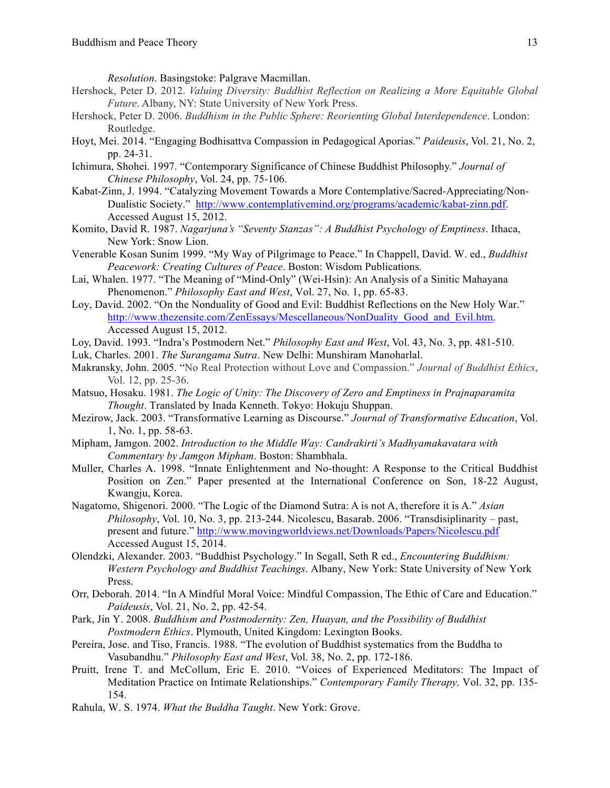*Resolution*. Basingstoke: Palgrave Macmillan.

- Hershock, Peter D. 2012. *Valuing Diversity: Buddhist Reflection on Realizing a More Equitable Global Future*. Albany, NY: State University of New York Press.
- Hershock, Peter D. 2006. *Buddhism in the Public Sphere: Reorienting Global Interdependence*. London: Routledge.
- Hoyt, Mei. 2014. "Engaging Bodhisattva Compassion in Pedagogical Aporias." *Paideusis*, Vol. 21, No. 2, pp. 24-31.
- Ichimura, Shohei. 1997. "Contemporary Significance of Chinese Buddhist Philosophy." *Journal of Chinese Philosophy*, Vol. 24, pp. 75-106.
- Kabat-Zinn, J. 1994. "Catalyzing Movement Towards a More Contemplative/Sacred-Appreciating/Non-Dualistic Society." http://www.contemplativemind.org/programs/academic/kabat-zinn.pdf. Accessed August 15, 2012.
- Komito, David R. 1987. *Nagarjuna's "Seventy Stanzas": A Buddhist Psychology of Emptiness*. Ithaca, New York: Snow Lion.
- Venerable Kosan Sunim 1999. "My Way of Pilgrimage to Peace." In Chappell, David. W. ed., *Buddhist Peacework: Creating Cultures of Peace*. Boston: Wisdom Publications.
- Lai, Whalen. 1977. "The Meaning of "Mind-Only" (Wei-Hsin): An Analysis of a Sinitic Mahayana Phenomenon." *Philosophy East and West*, Vol. 27, No. 1, pp. 65-83.
- Loy, David. 2002. "On the Nonduality of Good and Evil: Buddhist Reflections on the New Holy War." http://www.thezensite.com/ZenEssays/Mescellaneous/NonDuality\_Good\_and\_Evil.htm. Accessed August 15, 2012.
- Loy, David. 1993. "Indra's Postmodern Net." *Philosophy East and West*, Vol. 43, No. 3, pp. 481-510.
- Luk, Charles. 2001. *The Surangama Sutra*. New Delhi: Munshiram Manoharlal.
- Makransky, John. 2005. "No Real Protection without Love and Compassion." *Journal of Buddhist Ethics*, Vol. 12, pp. 25-36.
- Matsuo, Hosaku. 1981. *The Logic of Unity: The Discovery of Zero and Emptiness in Prajnaparamita Thought*. Translated by Inada Kenneth. Tokyo: Hokuju Shuppan.
- Mezirow, Jack. 2003. "Transformative Learning as Discourse." *Journal of Transformative Education*, Vol. 1, No. 1, pp. 58-63.
- Mipham, Jamgon. 2002. *Introduction to the Middle Way: Candrakirti's Madhyamakavatara with Commentary by Jamgon Mipham*. Boston: Shambhala.
- Muller, Charles A. 1998. "Innate Enlightenment and No-thought: A Response to the Critical Buddhist Position on Zen." Paper presented at the International Conference on Son, 18-22 August, Kwangju, Korea.
- Nagatomo, Shigenori. 2000. "The Logic of the Diamond Sutra: A is not A, therefore it is A." *Asian Philosophy*, Vol. 10, No. 3, pp. 213-244. Nicolescu, Basarab. 2006. "Transdisiplinarity – past, present and future." http://www.movingworldviews.net/Downloads/Papers/Nicolescu.pdf Accessed August 15, 2014.
- Olendzki, Alexander. 2003. "Buddhist Psychology." In Segall, Seth R ed., *Encountering Buddhism: Western Psychology and Buddhist Teachings*. Albany, New York: State University of New York Press.
- Orr, Deborah. 2014. "In A Mindful Moral Voice: Mindful Compassion, The Ethic of Care and Education." *Paideusis*, Vol. 21, No. 2, pp. 42-54.
- Park, Jin Y. 2008. *Buddhism and Postmodernity: Zen, Huayan, and the Possibility of Buddhist Postmodern Ethics*. Plymouth, United Kingdom: Lexington Books.
- Pereira, Jose. and Tiso, Francis. 1988. "The evolution of Buddhist systematics from the Buddha to Vasubandhu." *Philosophy East and West*, Vol. 38, No. 2, pp. 172-186.
- Pruitt, Irene T. and McCollum, Eric E. 2010. "Voices of Experienced Meditators: The Impact of Meditation Practice on Intimate Relationships." *Contemporary Family Therapy,* Vol. 32, pp. 135- 154.
- Rahula, W. S. 1974. *What the Buddha Taught*. New York: Grove.